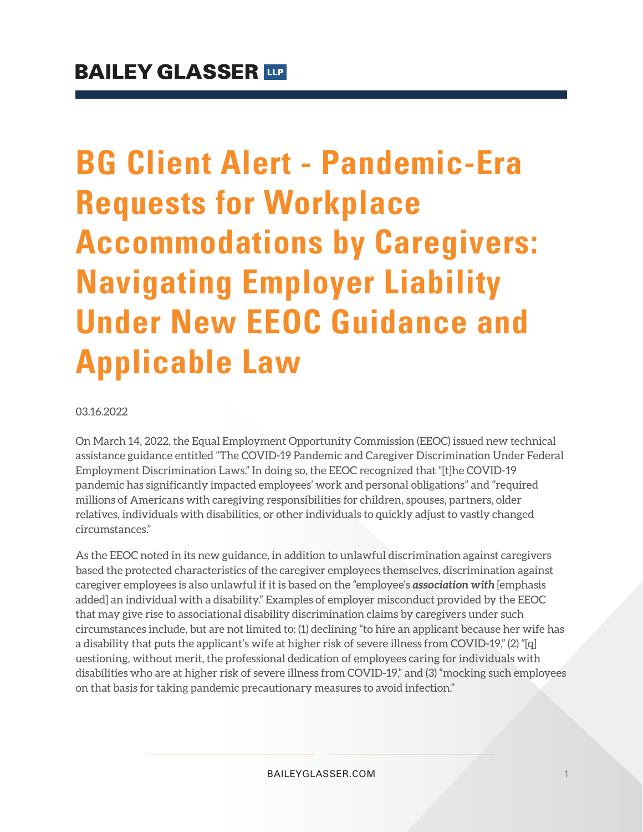# **BG Client Alert - Pandemic-Era Requests for Workplace Accommodations by Caregivers: Navigating Employer Liability Under New EEOC Guidance and Applicable Law**

03.16.2022

On March 14, 2022, the Equal Employment Opportunity Commission (EEOC) issued new technical assistance guidance entitled "The COVID-19 Pandemic and Caregiver Discrimination Under Federal Employment Discrimination Laws." In doing so, the EEOC recognized that "[t]he COVID-19 pandemic has significantly impacted employees' work and personal obligations" and "required millions of Americans with caregiving responsibilities for children, spouses, partners, older relatives, individuals with disabilities, or other individuals to quickly adjust to vastly changed circumstances."

As the EEOC noted in its new guidance, in addition to unlawful discrimination against caregivers based the protected characteristics of the caregiver employees themselves, discrimination against caregiver employees is also unlawful if it is based on the "employee's **association with** [emphasis added] an individual with a disability." Examples of employer misconduct provided by the EEOC that may give rise to associational disability discrimination claims by caregivers under such circumstances include, but are not limited to: (1) declining "to hire an applicant because her wife has a disability that puts the applicant's wife at higher risk of severe illness from COVID-19," (2) "[q] uestioning, without merit, the professional dedication of employees caring for individuals with disabilities who are at higher risk of severe illness from COVID-19," and (3) "mocking such employees on that basis for taking pandemic precautionary measures to avoid infection."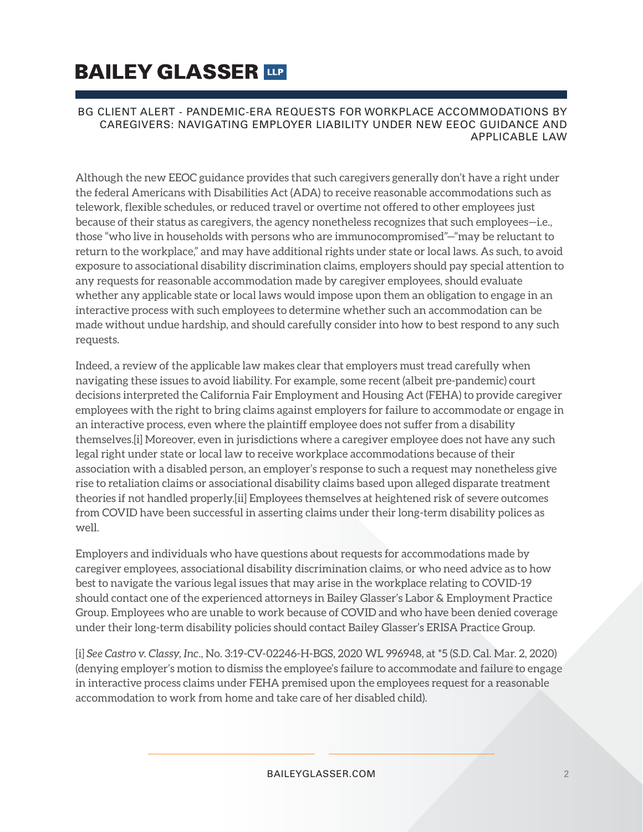## **BAILEY GLASSER TIP**

#### BG CLIENT ALERT - PANDEMIC-ERA REQUESTS FOR WORKPLACE ACCOMMODATIONS BY CAREGIVERS: NAVIGATING EMPLOYER LIABILITY UNDER NEW EEOC GUIDANCE AND APPLICABLE LAW

Although the new EEOC guidance provides that such caregivers generally don't have a right under the federal Americans with Disabilities Act (ADA) to receive reasonable accommodations such as telework, flexible schedules, or reduced travel or overtime not offered to other employees just because of their status as caregivers, the agency nonetheless recognizes that such employees—i.e., those "who live in households with persons who are immunocompromised"—"may be reluctant to return to the workplace," and may have additional rights under state or local laws. As such, to avoid exposure to associational disability discrimination claims, employers should pay special attention to any requests for reasonable accommodation made by caregiver employees, should evaluate whether any applicable state or local laws would impose upon them an obligation to engage in an interactive process with such employees to determine whether such an accommodation can be made without undue hardship, and should carefully consider into how to best respond to any such requests.

Indeed, a review of the applicable law makes clear that employers must tread carefully when navigating these issues to avoid liability. For example, some recent (albeit pre-pandemic) court decisions interpreted the California Fair Employment and Housing Act (FEHA) to provide caregiver employees with the right to bring claims against employers for failure to accommodate or engage in an interactive process, even where the plaintiff employee does not suffer from a disability themselves.[i] Moreover, even in jurisdictions where a caregiver employee does not have any such legal right under state or local law to receive workplace accommodations because of their association with a disabled person, an employer's response to such a request may nonetheless give rise to retaliation claims or associational disability claims based upon alleged disparate treatment theories if not handled properly.[ii] Employees themselves at heightened risk of severe outcomes from COVID have been successful in asserting claims under their long-term disability polices as well.

Employers and individuals who have questions about requests for accommodations made by caregiver employees, associational disability discrimination claims, or who need advice as to how best to navigate the various legal issues that may arise in the workplace relating to COVID-19 should contact one of the experienced attorneys in Bailey Glasser's Labor & Employment Practice Group. Employees who are unable to work because of COVID and who have been denied coverage under their long-term disability policies should contact Bailey Glasser's ERISA Practice Group.

[i] *See Castro v. Classy, Inc*., No. 3:19-CV-02246-H-BGS, 2020 WL 996948, at \*5 (S.D. Cal. Mar. 2, 2020) (denying employer's motion to dismiss the employee's failure to accommodate and failure to engage in interactive process claims under FEHA premised upon the employees request for a reasonable accommodation to work from home and take care of her disabled child).